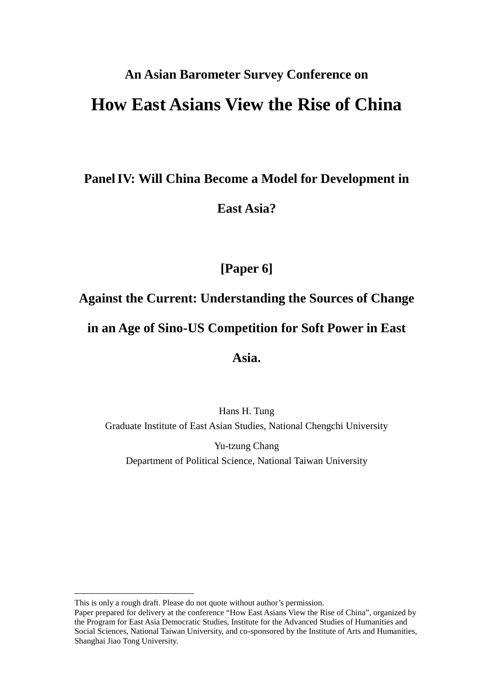# **An Asian Barometer Survey Conference on How East Asians View the Rise of China**

### **Panel IV: Will China Become a Model for Development in**

### **East Asia?**

### **[Paper 6]**

### **Against the Current: Understanding the Sources of Change**

### **in an Age of Sino-US Competition for Soft Power in East**

### **Asia.**

### Hans H. Tung Graduate Institute of East Asian Studies, National Chengchi University

Yu-tzung Chang Department of Political Science, National Taiwan University

This is only a rough draft. Please do not quote without author's permission.

Paper prepared for delivery at the conference "How East Asians View the Rise of China", organized by the Program for East Asia Democratic Studies, Institute for the Advanced Studies of Humanities and Social Sciences, National Taiwan University, and co-sponsored by the Institute of Arts and Humanities, Shanghai Jiao Tong University.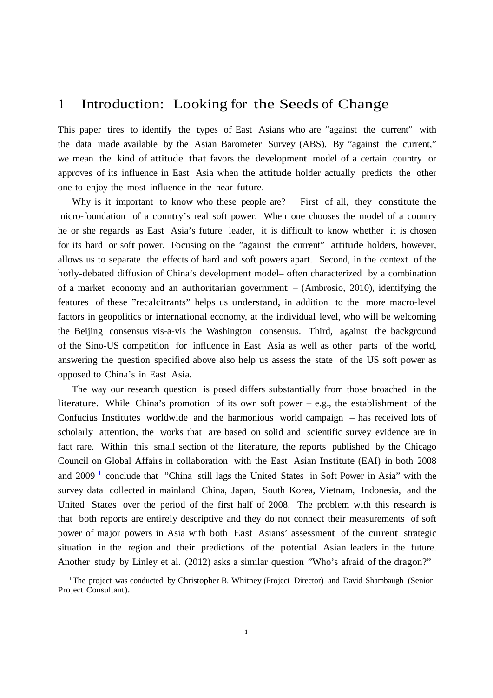### 1 Introduction: Looking for the Seeds of Change

This paper tires to identify the types of East Asians who are "against the current" with the data made available by the Asian Barometer Survey (ABS). By "against the current," we mean the kind of attitude that favors the development model of a certain country or approves of its influence in East Asia when the attitude holder actually predicts the other one to enjoy the most influence in the near future.

Why is it important to know who these people are? First of all, they constitute the micro-foundation of a country's real soft power. When one chooses the model of a country he or she regards as East Asia's future leader, it is difficult to know whether it is chosen for its hard or soft power. Focusing on the "against the current" attitude holders, however, allows us to separate the effects of hard and soft powers apart. Second, in the context of the hotly-debated diffusion of China's development model– often characterized by a combination of a market economy and an authoritarian government – (Ambrosio, 2010), identifying the features of these "recalcitrants" helps us understand, in addition to the more macro-level factors in geopolitics or international economy, at the individual level, who will be welcoming the Beijing consensus vis-a-vis the Washington consensus. Third, against the background of the Sino-US competition for influence in East Asia as well as other parts of the world, answering the question specified above also help us assess the state of the US soft power as opposed to China's in East Asia.

The way our research question is posed differs substantially from those broached in the literature. While China's promotion of its own soft power – e.g., the establishment of the Confucius Institutes worldwide and the harmonious world campaign – has received lots of scholarly attention, the works that are based on solid and scientific survey evidence are in fact rare. Within this small section of the literature, the reports published by the Chicago Council on Global Affairs in collaboration with the East Asian Institute (EAI) in both 2008 and 2009 1 conclude that "China still lags the United States in Soft Power in Asia" with the survey data collected in mainland China, Japan, South Korea, Vietnam, Indonesia, and the United States over the period of the first half of 2008. The problem with this research is that both reports are entirely descriptive and they do not connect their measurements of soft power of major powers in Asia with both East Asians' assessment of the current strategic situation in the region and their predictions of the potential Asian leaders in the future. Another study by Linley et al. (2012) asks a similar question "Who's afraid of the dragon?"

<sup>&</sup>lt;sup>1</sup> The project was conducted by Christopher B. Whitney (Project Director) and David Shambaugh (Senior Project Consultant).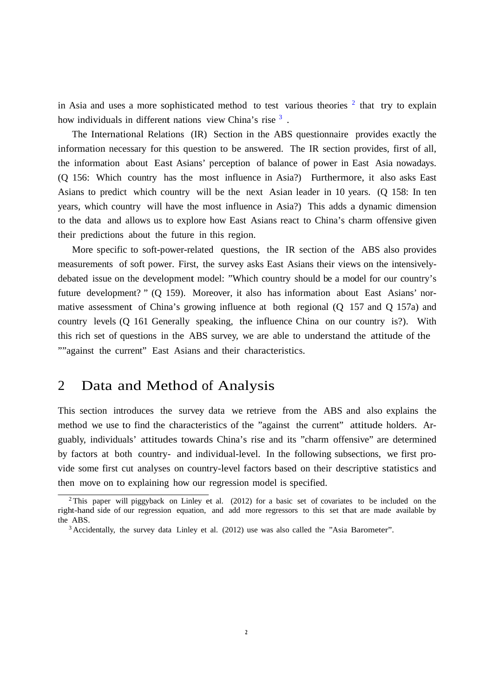in Asia and uses a more sophisticated method to test various theories  $2$  that try to explain how individuals in different nations view China's rise 3 .

The International Relations (IR) Section in the ABS questionnaire provides exactly the information necessary for this question to be answered. The IR section provides, first of all, the information about East Asians' perception of balance of power in East Asia nowadays. (Q 156: Which country has the most influence in Asia?) Furthermore, it also asks East Asians to predict which country will be the next Asian leader in 10 years. (Q 158: In ten years, which country will have the most influence in Asia?) This adds a dynamic dimension to the data and allows us to explore how East Asians react to China's charm offensive given their predictions about the future in this region.

More specific to soft-power-related questions, the IR section of the ABS also provides measurements of soft power. First, the survey asks East Asians their views on the intensivelydebated issue on the development model: "Which country should be a model for our country's future development? " (Q 159). Moreover, it also has information about East Asians' normative assessment of China's growing influence at both regional (Q 157 and Q 157a) and country levels (Q 161 Generally speaking, the influence China on our country is?). With this rich set of questions in the ABS survey, we are able to understand the attitude of the ""against the current" East Asians and their characteristics.

### 2 Data and Method of Analysis

This section introduces the survey data we retrieve from the ABS and also explains the method we use to find the characteristics of the "against the current" attitude holders. Arguably, individuals' attitudes towards China's rise and its "charm offensive" are determined by factors at both country- and individual-level. In the following subsections, we first provide some first cut analyses on country-level factors based on their descriptive statistics and then move on to explaining how our regression model is specified.

<sup>2</sup> This paper will piggyback on Linley et al. (2012) for a basic set of covariates to be included on the right-hand side of our regression equation, and add more regressors to this set that are made available by the ABS.

<sup>3</sup> Accidentally, the survey data Linley et al. (2012) use was also called the "Asia Barometer".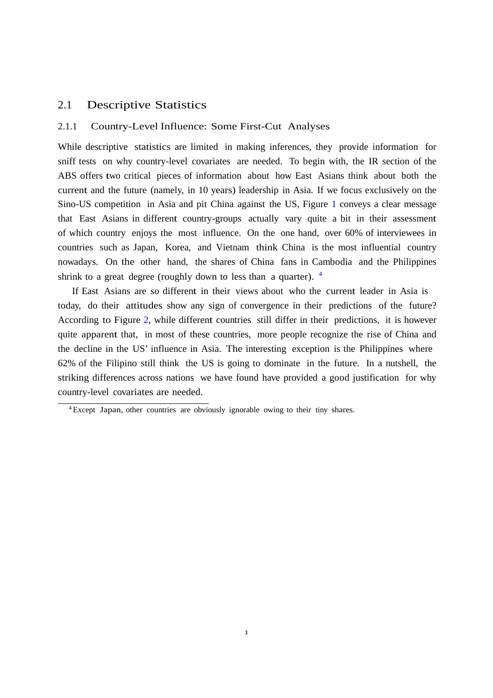#### 2.1 Descriptive Statistics

#### 2.1.1 Country-Level Influence: Some First-Cut Analyses

While descriptive statistics are limited in making inferences, they provide information for sniff tests on why country-level covariates are needed. To begin with, the IR section of the ABS offers two critical pieces of information about how East Asians think about both the current and the future (namely, in 10 years) leadership in Asia. If we focus exclusively on the Sino-US competition in Asia and pit China against the US, Figure 1 conveys a clear message that East Asians in different country-groups actually vary quite a bit in their assessment of which country enjoys the most influence. On the one hand, over 60% of interviewees in countries such as Japan, Korea, and Vietnam think China is the most influential country nowadays. On the other hand, the shares of China fans in Cambodia and the Philippines shrink to a great degree (roughly down to less than a quarter). <sup>4</sup>

If East Asians are so different in their views about who the current leader in Asia is today, do their attitudes show any sign of convergence in their predictions of the future? According to Figure 2, while different countries still differ in their predictions, it is however quite apparent that, in most of these countries, more people recognize the rise of China and the decline in the US' influence in Asia. The interesting exception is the Philippines where 62% of the Filipino still think the US is going to dominate in the future. In a nutshell, the striking differences across nations we have found have provided a good justification for why country-level covariates are needed.

<sup>4</sup> Except Japan, other countries are obviously ignorable owing to their tiny shares.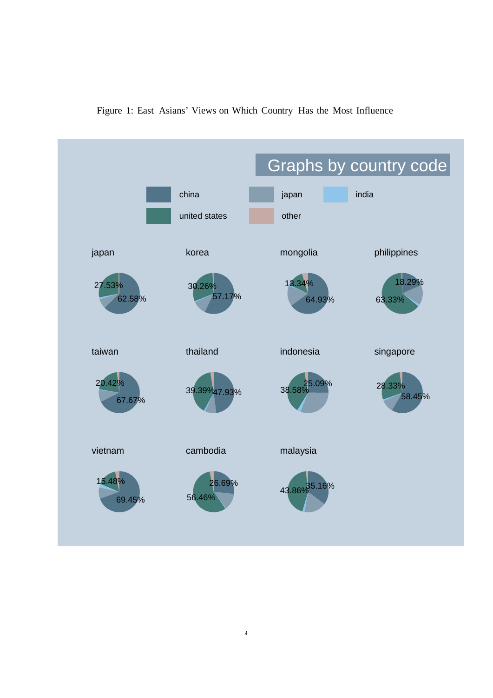

Figure 1: East Asians' Views on Which Country Has the Most Influence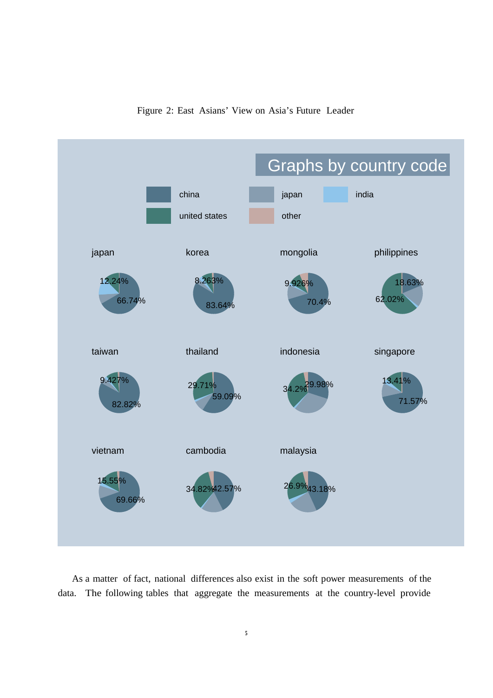



As a matter of fact, national differences also exist in the soft power measurements of the data. The following tables that aggregate the measurements at the country-level provide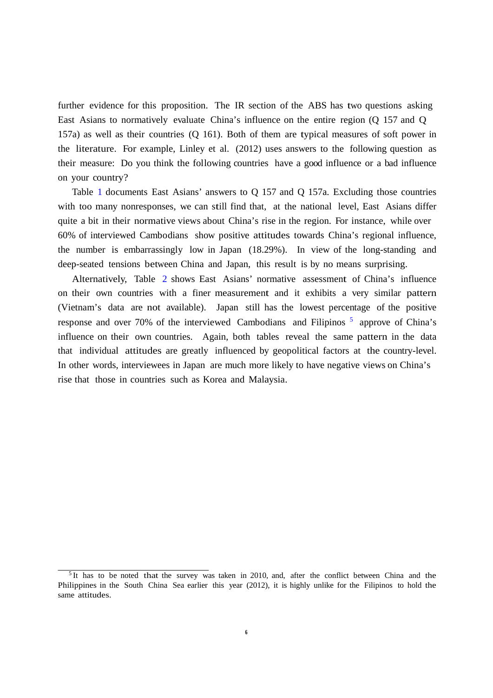further evidence for this proposition. The IR section of the ABS has two questions asking East Asians to normatively evaluate China's influence on the entire region (Q 157 and Q 157a) as well as their countries (Q 161). Both of them are typical measures of soft power in the literature. For example, Linley et al. (2012) uses answers to the following question as their measure: Do you think the following countries have a good influence or a bad influence on your country?

Table 1 documents East Asians' answers to Q 157 and Q 157a. Excluding those countries with too many nonresponses, we can still find that, at the national level, East Asians differ quite a bit in their normative views about China's rise in the region. For instance, while over 60% of interviewed Cambodians show positive attitudes towards China's regional influence, the number is embarrassingly low in Japan (18.29%). In view of the long-standing and deep-seated tensions between China and Japan, this result is by no means surprising.

Alternatively, Table 2 shows East Asians' normative assessment of China's influence on their own countries with a finer measurement and it exhibits a very similar pattern (Vietnam's data are not available). Japan still has the lowest percentage of the positive response and over 70% of the interviewed Cambodians and Filipinos  $\frac{5}{9}$  approve of China's influence on their own countries. Again, both tables reveal the same pattern in the data that individual attitudes are greatly influenced by geopolitical factors at the country-level. In other words, interviewees in Japan are much more likely to have negative views on China's rise that those in countries such as Korea and Malaysia.

<sup>&</sup>lt;sup>5</sup> It has to be noted that the survey was taken in 2010, and, after the conflict between China and the Philippines in the South China Sea earlier this year (2012), it is highly unlike for the Filipinos to hold the same attitudes.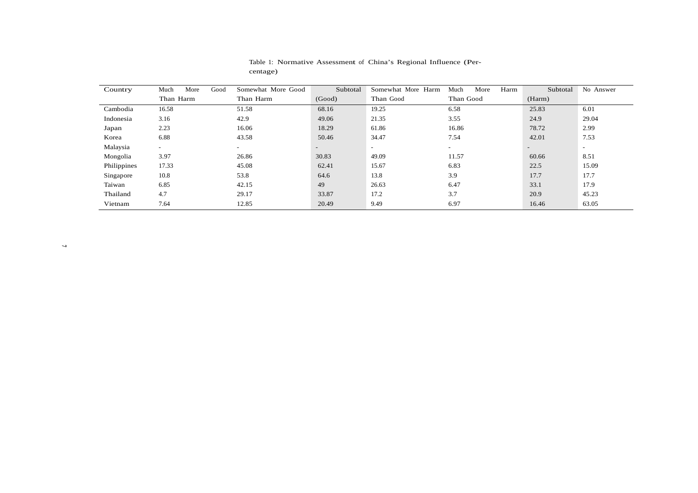| Country     | Good<br>More<br>Much | Somewhat More Good | Subtotal | Somewhat More Harm | Harm<br>Much<br>More | Subtotal                 | No Answer      |
|-------------|----------------------|--------------------|----------|--------------------|----------------------|--------------------------|----------------|
|             | Than Harm            | Than Harm          | (Good)   | Than Good          | Than Good            | (Harm)                   |                |
| Cambodia    | 16.58                | 51.58              | 68.16    | 19.25              | 6.58                 | 25.83                    | 6.01           |
| Indonesia   | 3.16                 | 42.9               | 49.06    | 21.35              | 3.55                 | 24.9                     | 29.04          |
| Japan       | 2.23                 | 16.06              | 18.29    | 61.86              | 16.86                | 78.72                    | 2.99           |
| Korea       | 6.88                 | 43.58              | 50.46    | 34.47              | 7.54                 | 42.01                    | 7.53           |
| Malaysia    | $\sim$               | $\sim$             | $\sim$   | $\sim$             | $\sim$               | $\overline{\phantom{a}}$ | $\overline{a}$ |
| Mongolia    | 3.97                 | 26.86              | 30.83    | 49.09              | 11.57                | 60.66                    | 8.51           |
| Philippines | 17.33                | 45.08              | 62.41    | 15.67              | 6.83                 | 22.5                     | 15.09          |
| Singapore   | 10.8                 | 53.8               | 64.6     | 13.8               | 3.9                  | 17.7                     | 17.7           |
| Taiwan      | 6.85                 | 42.15              | 49       | 26.63              | 6.47                 | 33.1                     | 17.9           |
| Thailand    | 4.7                  | 29.17              | 33.87    | 17.2               | 3.7                  | 20.9                     | 45.23          |
| Vietnam     | 7.64                 | 12.85              | 20.49    | 9.49               | 6.97                 | 16.46                    | 63.05          |

#### Table 1: Normative Assessment of China's Regional Influence (Percentage)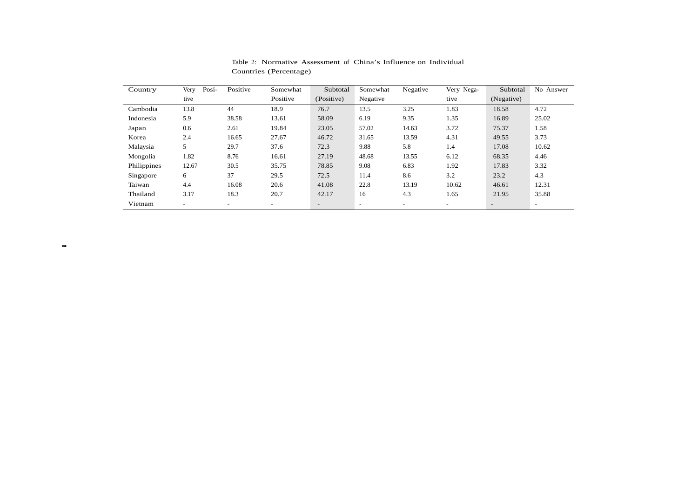| Country     | Posi-<br>Very | Positive                 | Somewhat                 | Subtotal                 | Somewhat                 | Negative                 | Very Nega-               | Subtotal                 | No Answer                |
|-------------|---------------|--------------------------|--------------------------|--------------------------|--------------------------|--------------------------|--------------------------|--------------------------|--------------------------|
|             | tive          |                          | Positive                 | (Positive)               | Negative                 |                          | tive                     | (Negative)               |                          |
| Cambodia    | 13.8          | 44                       | 18.9                     | 76.7                     | 13.5                     | 3.25                     | 1.83                     | 18.58                    | 4.72                     |
| Indonesia   | 5.9           | 38.58                    | 13.61                    | 58.09                    | 6.19                     | 9.35                     | 1.35                     | 16.89                    | 25.02                    |
| Japan       | 0.6           | 2.61                     | 19.84                    | 23.05                    | 57.02                    | 14.63                    | 3.72                     | 75.37                    | 1.58                     |
| Korea       | 2.4           | 16.65                    | 27.67                    | 46.72                    | 31.65                    | 13.59                    | 4.31                     | 49.55                    | 3.73                     |
| Malaysia    | 5             | 29.7                     | 37.6                     | 72.3                     | 9.88                     | 5.8                      | 1.4                      | 17.08                    | 10.62                    |
| Mongolia    | 1.82          | 8.76                     | 16.61                    | 27.19                    | 48.68                    | 13.55                    | 6.12                     | 68.35                    | 4.46                     |
| Philippines | 12.67         | 30.5                     | 35.75                    | 78.85                    | 9.08                     | 6.83                     | 1.92                     | 17.83                    | 3.32                     |
| Singapore   | 6             | 37                       | 29.5                     | 72.5                     | 11.4                     | 8.6                      | 3.2                      | 23.2                     | 4.3                      |
| Taiwan      | 4.4           | 16.08                    | 20.6                     | 41.08                    | 22.8                     | 13.19                    | 10.62                    | 46.61                    | 12.31                    |
| Thailand    | 3.17          | 18.3                     | 20.7                     | 42.17                    | 16                       | 4.3                      | 1.65                     | 21.95                    | 35.88                    |
| Vietnam     | -             | $\overline{\phantom{a}}$ | $\overline{\phantom{0}}$ | $\overline{\phantom{a}}$ | $\overline{\phantom{a}}$ | $\overline{\phantom{0}}$ | $\overline{\phantom{0}}$ | $\overline{\phantom{a}}$ | $\overline{\phantom{a}}$ |

Table 2: Normative Assessment of China's Influence on Individual Countries (Percentage)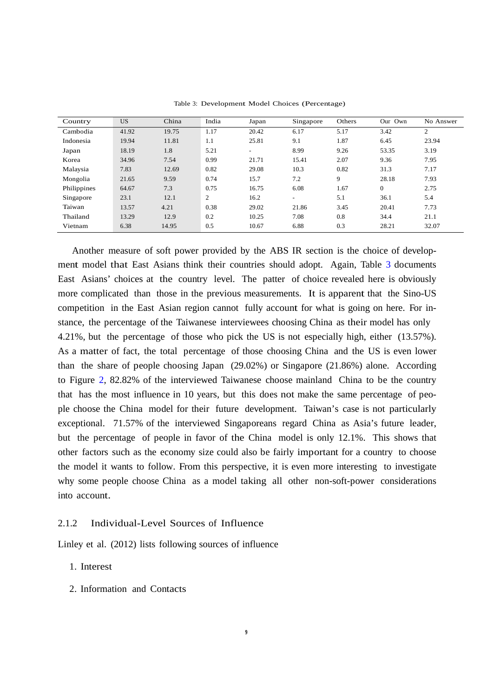| Country     | <b>US</b> | China | India | Japan                    | Singapore                | Others | Our Own        | No Answer |
|-------------|-----------|-------|-------|--------------------------|--------------------------|--------|----------------|-----------|
| Cambodia    | 41.92     | 19.75 | 1.17  | 20.42                    | 6.17                     | 5.17   | 3.42           | 2         |
| Indonesia   | 19.94     | 11.81 | 1.1   | 25.81                    | 9.1                      | 1.87   | 6.45           | 23.94     |
| Japan       | 18.19     | 1.8   | 5.21  | $\overline{\phantom{a}}$ | 8.99                     | 9.26   | 53.35          | 3.19      |
| Korea       | 34.96     | 7.54  | 0.99  | 21.71                    | 15.41                    | 2.07   | 9.36           | 7.95      |
| Malaysia    | 7.83      | 12.69 | 0.82  | 29.08                    | 10.3                     | 0.82   | 31.3           | 7.17      |
| Mongolia    | 21.65     | 9.59  | 0.74  | 15.7                     | 7.2                      | 9      | 28.18          | 7.93      |
| Philippines | 64.67     | 7.3   | 0.75  | 16.75                    | 6.08                     | 1.67   | $\overline{0}$ | 2.75      |
| Singapore   | 23.1      | 12.1  | 2     | 16.2                     | $\overline{\phantom{a}}$ | 5.1    | 36.1           | 5.4       |
| Taiwan      | 13.57     | 4.21  | 0.38  | 29.02                    | 21.86                    | 3.45   | 20.41          | 7.73      |
| Thailand    | 13.29     | 12.9  | 0.2   | 10.25                    | 7.08                     | 0.8    | 34.4           | 21.1      |
| Vietnam     | 6.38      | 14.95 | 0.5   | 10.67                    | 6.88                     | 0.3    | 28.21          | 32.07     |

Table 3: Development Model Choices (Percentage)

Another measure of soft power provided by the ABS IR section is the choice of development model that East Asians think their countries should adopt. Again, Table 3 documents East Asians' choices at the country level. The patter of choice revealed here is obviously more complicated than those in the previous measurements. It is apparent that the Sino-US competition in the East Asian region cannot fully account for what is going on here. For instance, the percentage of the Taiwanese interviewees choosing China as their model has only 4.21%, but the percentage of those who pick the US is not especially high, either (13.57%). As a matter of fact, the total percentage of those choosing China and the US is even lower than the share of people choosing Japan (29.02%) or Singapore (21.86%) alone. According to Figure 2, 82.82% of the interviewed Taiwanese choose mainland China to be the country that has the most influence in 10 years, but this does not make the same percentage of people choose the China model for their future development. Taiwan's case is not particularly exceptional. 71.57% of the interviewed Singaporeans regard China as Asia's future leader, but the percentage of people in favor of the China model is only 12.1%. This shows that other factors such as the economy size could also be fairly important for a country to choose the model it wants to follow. From this perspective, it is even more interesting to investigate why some people choose China as a model taking all other non-soft-power considerations into account.

#### 2.1.2 Individual-Level Sources of Influence

Linley et al. (2012) lists following sources of influence

- 1. Interest
- 2. Information and Contacts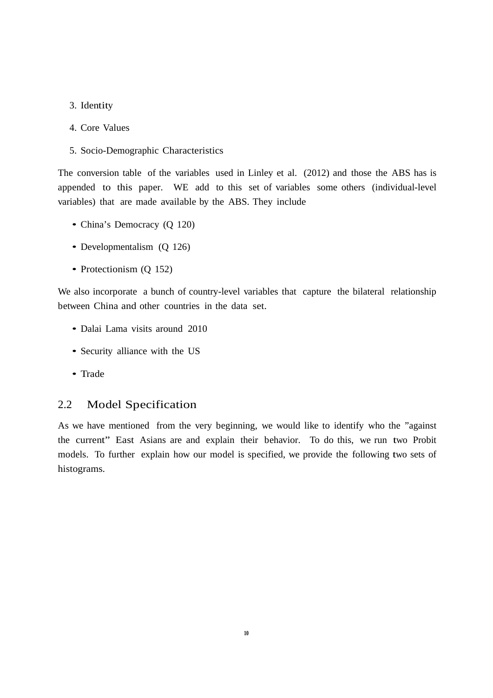- 3. Identity
- 4. Core Values
- 5. Socio-Demographic Characteristics

The conversion table of the variables used in Linley et al. (2012) and those the ABS has is appended to this paper. WE add to this set of variables some others (individual-level variables) that are made available by the ABS. They include

- China's Democracy (Q 120)
- Developmentalism (Q 126)
- Protectionism (Q 152)

We also incorporate a bunch of country-level variables that capture the bilateral relationship between China and other countries in the data set.

- Dalai Lama visits around 2010
- Security alliance with the US
- Trade

#### 2.2 Model Specification

As we have mentioned from the very beginning, we would like to identify who the "against the current" East Asians are and explain their behavior. To do this, we run two Probit models. To further explain how our model is specified, we provide the following two sets of histograms.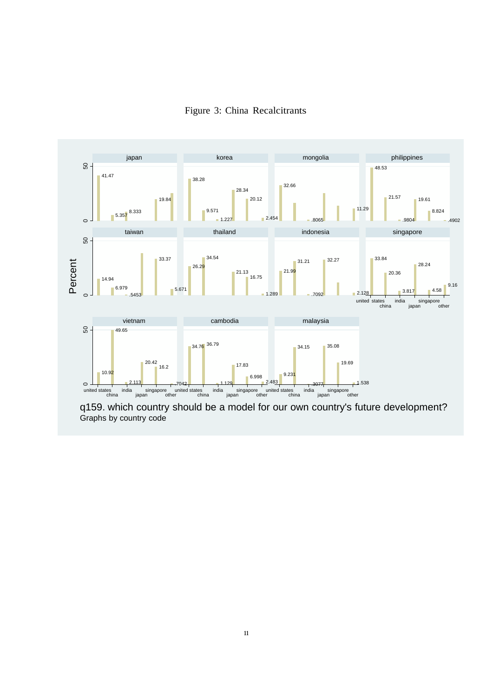



q159. which country should be a model for our own country's future development? Graphs by country code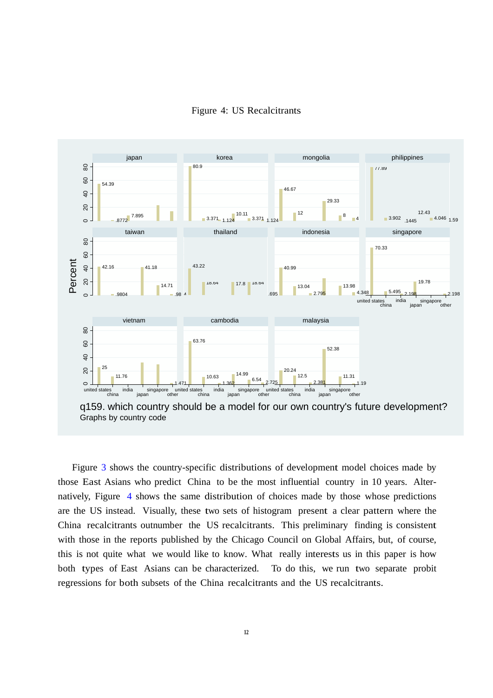



Graphs by country code

Figure 3 shows the country-specific distributions of development model choices made by those East Asians who predict China to be the most influential country in 10 years. Alternatively, Figure 4 shows the same distribution of choices made by those whose predictions are the US instead. Visually, these two sets of histogram present a clear pattern where the China recalcitrants outnumber the US recalcitrants. This preliminary finding is consistent with those in the reports published by the Chicago Council on Global Affairs, but, of course, this is not quite what we would like to know. What really interests us in this paper is how both types of East Asians can be characterized. To do this, we run two separate probit regressions for both subsets of the China recalcitrants and the US recalcitrants.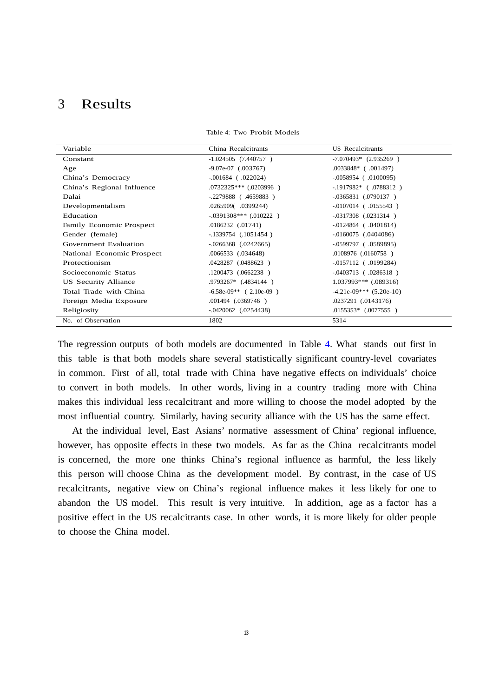### 3 Results

| Variable                   | China Recalcitrants        | <b>US</b> Recalcitrants   |
|----------------------------|----------------------------|---------------------------|
| Constant                   | $-1.024505$ (7.440757)     | $-7.070493*$ (2.935269)   |
| Age                        | $-9.07e-07$ (.003767)      | $.0033848*$ (.001497)     |
| China's Democracy          | $-0.001684$ (.022024)      | $-0.0058954$ (.0100095)   |
| China's Regional Influence | $.0732325***$ $.0203996$ ) | $-1917982*$ (.0788312)    |
| Dalai                      | $-.2279888$ (.4659883)     | $-0.0365831$ (.0790137)   |
| Developmentalism           | .0265909(.0399244)         | $-0107014$ (.0155543)     |
| Education                  | $-.0391308***$ (.010222)   | $-0317308$ $(.0231314)$   |
| Family Economic Prospect   | $.0186232$ $(.01741)$      | $-0.0124864$ (.0401814)   |
| Gender (female)            | $-.1339754$ $(.1051454)$   | $-0.0160075$ (.0404086)   |
| Government Evaluation      | $-0.0266368$ $(0.0242665)$ | $-0.0599797$ (.0589895)   |
| National Economic Prospect | .0066533 (.034648)         | $.0108976$ $(.0160758)$   |
| Protectionism              | .0428287 (.0488623)        | $-0.0157112$ (.0199284)   |
| Socioeconomic Status       | .1200473 (.0662238)        | $-0.0403713$ (.0286318)   |
| US Security Alliance       | .9793267* (.4834144)       | $1.037993***$ $(.089316)$ |
| Total Trade with China     | $-6.58e-09**$ (2.10e-09)   | $-4.21e-09***$ (5.20e-10) |
| Foreign Media Exposure     | .001494 (.0369746)         | .0237291 (.0143176)       |
| Religiosity                | $-.0420062$ $(.0254438)$   | $.0155353*$ $(.0077555)$  |
| No. of Observation         | 1802                       | 5314                      |

Table 4: Two Probit Models

The regression outputs of both models are documented in Table 4. What stands out first in this table is that both models share several statistically significant country-level covariates in common. First of all, total trade with China have negative effects on individuals' choice to convert in both models. In other words, living in a country trading more with China makes this individual less recalcitrant and more willing to choose the model adopted by the most influential country. Similarly, having security alliance with the US has the same effect.

At the individual level, East Asians' normative assessment of China' regional influence, however, has opposite effects in these two models. As far as the China recalcitrants model is concerned, the more one thinks China's regional influence as harmful, the less likely this person will choose China as the development model. By contrast, in the case of US recalcitrants, negative view on China's regional influence makes it less likely for one to abandon the US model. This result is very intuitive. In addition, age as a factor has a positive effect in the US recalcitrants case. In other words, it is more likely for older people to choose the China model.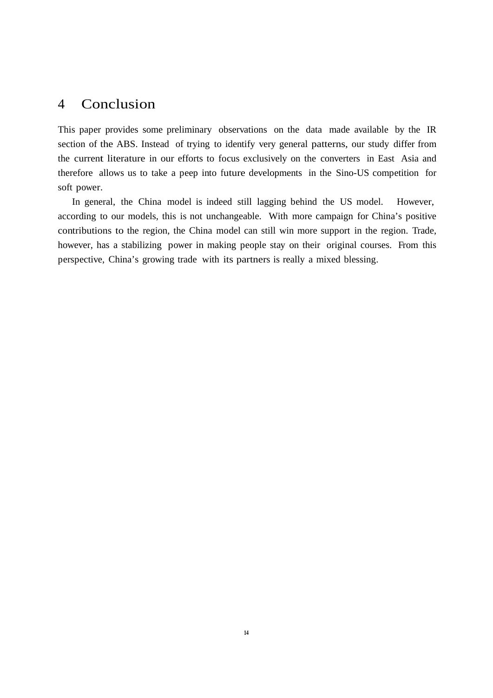### 4 Conclusion

This paper provides some preliminary observations on the data made available by the IR section of the ABS. Instead of trying to identify very general patterns, our study differ from the current literature in our efforts to focus exclusively on the converters in East Asia and therefore allows us to take a peep into future developments in the Sino-US competition for soft power.

In general, the China model is indeed still lagging behind the US model. However, according to our models, this is not unchangeable. With more campaign for China's positive contributions to the region, the China model can still win more support in the region. Trade, however, has a stabilizing power in making people stay on their original courses. From this perspective, China's growing trade with its partners is really a mixed blessing.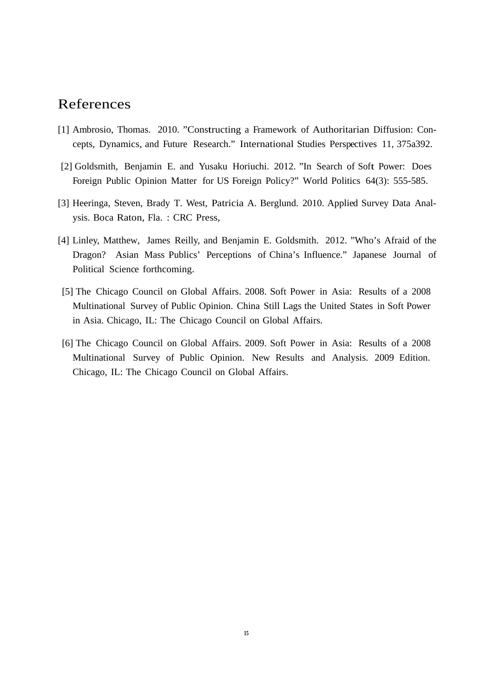### References

- [1] Ambrosio, Thomas. 2010. "Constructing a Framework of Authoritarian Diffusion: Concepts, Dynamics, and Future Research." International Studies Perspectives 11, 375a392.
- [2] Goldsmith, Benjamin E. and Yusaku Horiuchi. 2012. "In Search of Soft Power: Does Foreign Public Opinion Matter for US Foreign Policy?" World Politics 64(3): 555-585.
- [3] Heeringa, Steven, Brady T. West, Patricia A. Berglund. 2010. Applied Survey Data Analysis. Boca Raton, Fla. : CRC Press,
- [4] Linley, Matthew, James Reilly, and Benjamin E. Goldsmith. 2012. "Who's Afraid of the Dragon? Asian Mass Publics' Perceptions of China's Influence." Japanese Journal of Political Science forthcoming.
- [5] The Chicago Council on Global Affairs. 2008. Soft Power in Asia: Results of a 2008 Multinational Survey of Public Opinion. China Still Lags the United States in Soft Power in Asia. Chicago, IL: The Chicago Council on Global Affairs.
- [6] The Chicago Council on Global Affairs. 2009. Soft Power in Asia: Results of a 2008 Multinational Survey of Public Opinion. New Results and Analysis. 2009 Edition. Chicago, IL: The Chicago Council on Global Affairs.